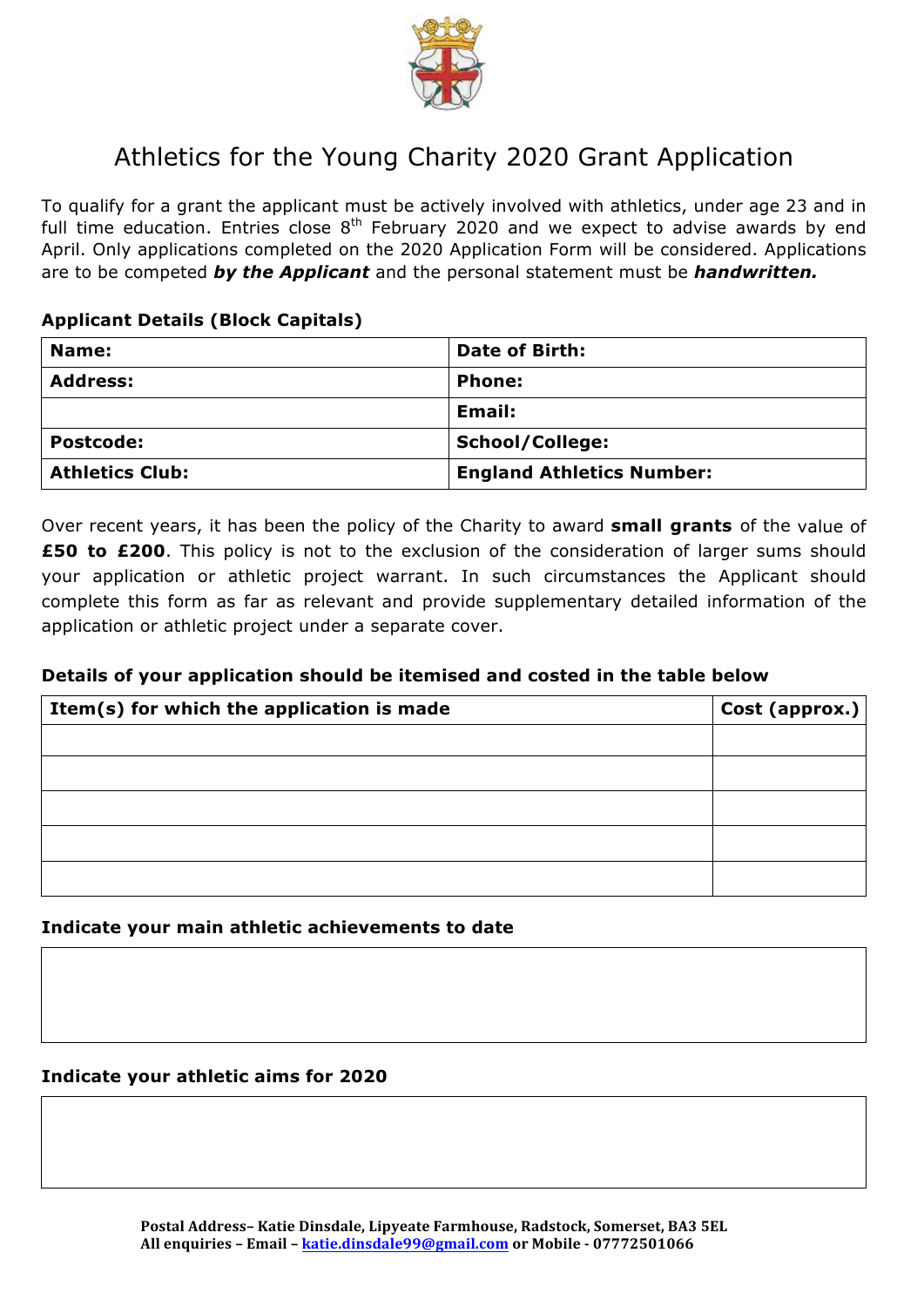

# Athletics for the Young Charity 2020 Grant Application

To qualify for a grant the applicant must be actively involved with athletics, under age 23 and in full time education. Entries close  $8<sup>th</sup>$  February 2020 and we expect to advise awards by end April. Only applications completed on the 2020 Application Form will be considered. Applications are to be competed *by the Applicant* and the personal statement must be *handwritten.*

### **Applicant Details (Block Capitals)**

| Name:                  | <b>Date of Birth:</b>            |
|------------------------|----------------------------------|
| <b>Address:</b>        | <b>Phone:</b>                    |
|                        | Email:                           |
| <b>Postcode:</b>       | School/College:                  |
| <b>Athletics Club:</b> | <b>England Athletics Number:</b> |

Over recent years, it has been the policy of the Charity to award **small grants** of the value of **£50 to £200**. This policy is not to the exclusion of the consideration of larger sums should your application or athletic project warrant. In such circumstances the Applicant should complete this form as far as relevant and provide supplementary detailed information of the application or athletic project under a separate cover.

## **Details of your application should be itemised and costed in the table below**

| Item(s) for which the application is made | Cost (approx.) |
|-------------------------------------------|----------------|
|                                           |                |
|                                           |                |
|                                           |                |
|                                           |                |
|                                           |                |

**Indicate your main athletic achievements to date**

#### **Indicate your athletic aims for 2020**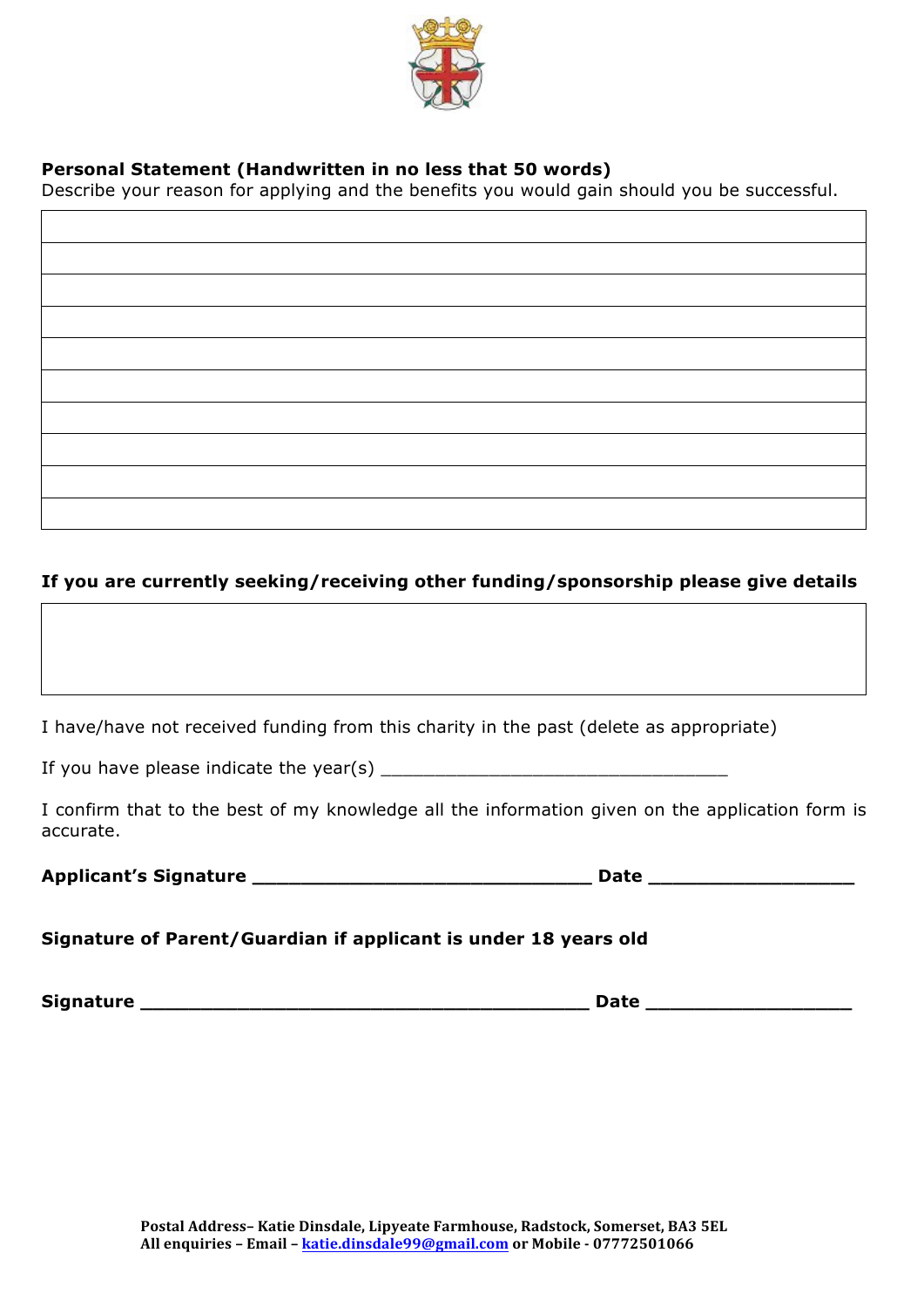

## **Personal Statement (Handwritten in no less that 50 words)**

Describe your reason for applying and the benefits you would gain should you be successful.

## **If you are currently seeking/receiving other funding/sponsorship please give details**

I have/have not received funding from this charity in the past (delete as appropriate)

If you have please indicate the year(s)  $\blacksquare$ 

I confirm that to the best of my knowledge all the information given on the application form is accurate.

| <b>Applicant's Signature</b> | Date |
|------------------------------|------|
|------------------------------|------|

#### **Signature of Parent/Guardian if applicant is under 18 years old**

**Signature \_\_\_\_\_\_\_\_\_\_\_\_\_\_\_\_\_\_\_\_\_\_\_\_\_\_\_\_\_\_\_\_\_\_\_\_\_ Date \_\_\_\_\_\_\_\_\_\_\_\_\_\_\_\_\_**